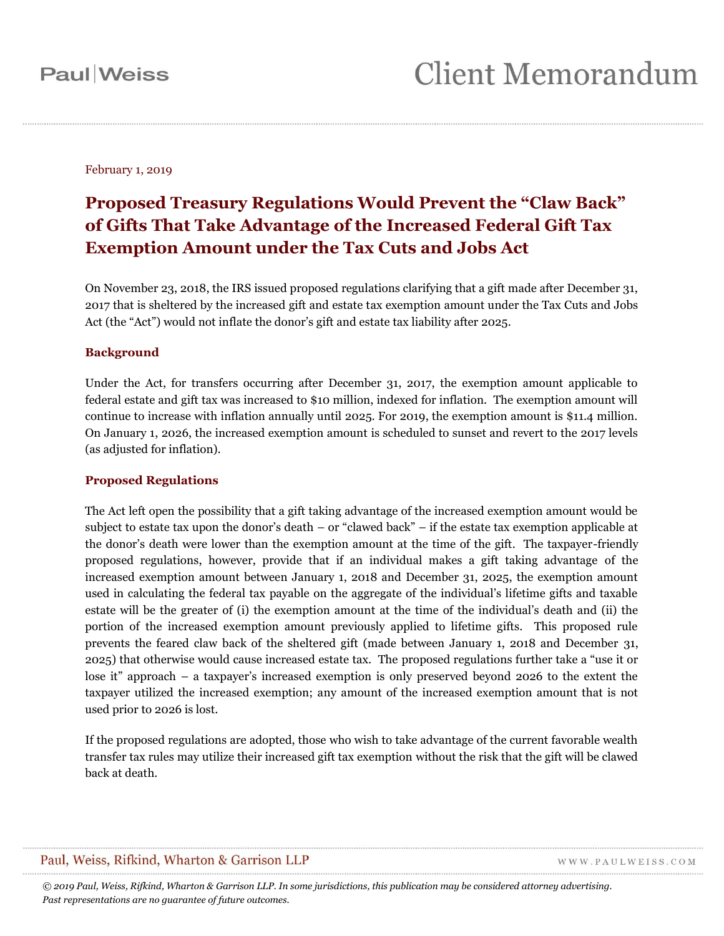February 1, 2019

# **Proposed Treasury Regulations Would Prevent the "Claw Back" of Gifts That Take Advantage of the Increased Federal Gift Tax Exemption Amount under the Tax Cuts and Jobs Act**

On November 23, 2018, the IRS issued proposed regulations clarifying that a gift made after December 31, 2017 that is sheltered by the increased gift and estate tax exemption amount under the Tax Cuts and Jobs Act (the "Act") would not inflate the donor's gift and estate tax liability after 2025.

## **Background**

Under the Act, for transfers occurring after December 31, 2017, the exemption amount applicable to federal estate and gift tax was increased to \$10 million, indexed for inflation. The exemption amount will continue to increase with inflation annually until 2025. For 2019, the exemption amount is \$11.4 million. On January 1, 2026, the increased exemption amount is scheduled to sunset and revert to the 2017 levels (as adjusted for inflation).

#### **Proposed Regulations**

The Act left open the possibility that a gift taking advantage of the increased exemption amount would be subject to estate tax upon the donor's death – or "clawed back" – if the estate tax exemption applicable at the donor's death were lower than the exemption amount at the time of the gift. The taxpayer-friendly proposed regulations, however, provide that if an individual makes a gift taking advantage of the increased exemption amount between January 1, 2018 and December 31, 2025, the exemption amount used in calculating the federal tax payable on the aggregate of the individual's lifetime gifts and taxable estate will be the greater of (i) the exemption amount at the time of the individual's death and (ii) the portion of the increased exemption amount previously applied to lifetime gifts. This proposed rule prevents the feared claw back of the sheltered gift (made between January 1, 2018 and December 31, 2025) that otherwise would cause increased estate tax. The proposed regulations further take a "use it or lose it" approach – a taxpayer's increased exemption is only preserved beyond 2026 to the extent the taxpayer utilized the increased exemption; any amount of the increased exemption amount that is not used prior to 2026 is lost.

If the proposed regulations are adopted, those who wish to take advantage of the current favorable wealth transfer tax rules may utilize their increased gift tax exemption without the risk that the gift will be clawed back at death.

## Paul, Weiss, Rifkind, Wharton & Garrison LLP

WWW.PAULWEISS.COM

*© 2019 Paul, Weiss, Rifkind, Wharton & Garrison LLP. In some jurisdictions, this publication may be considered attorney advertising. Past representations are no guarantee of future outcomes.*